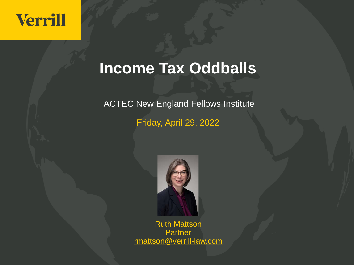#### **Income Tax Oddballs**

ACTEC New England Fellows Institute

Friday, April 29, 2022



Ruth Mattson Partner rmattson@verrill-law.com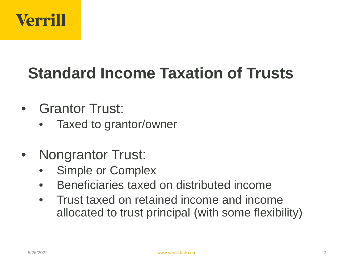

# **Standard Income Taxation of Trusts**

- Grantor Trust:
	- Taxed to grantor/owner
- Nongrantor Trust:
	- Simple or Complex
	- Beneficiaries taxed on distributed income
	- Trust taxed on retained income and income allocated to trust principal (with some flexibility)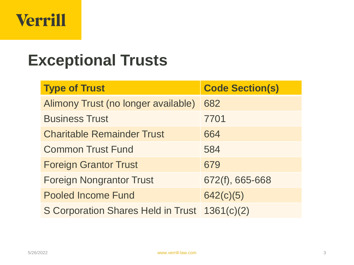

#### **Exceptional Trusts**

| <b>Type of Trust</b>                          | <b>Code Section(s)</b> |
|-----------------------------------------------|------------------------|
| Alimony Trust (no longer available)           | 682                    |
| <b>Business Trust</b>                         | 7701                   |
| <b>Charitable Remainder Trust</b>             | 664                    |
| <b>Common Trust Fund</b>                      | 584                    |
| <b>Foreign Grantor Trust</b>                  | 679                    |
| <b>Foreign Nongrantor Trust</b>               | 672(f), 665-668        |
| <b>Pooled Income Fund</b>                     | 642(c)(5)              |
| S Corporation Shares Held in Trust 1361(c)(2) |                        |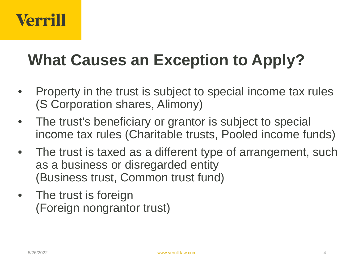# **What Causes an Exception to Apply?**

- Property in the trust is subject to special income tax rules (S Corporation shares, Alimony)
- The trust's beneficiary or grantor is subject to special income tax rules (Charitable trusts, Pooled income funds)
- The trust is taxed as a different type of arrangement, such as a business or disregarded entity (Business trust, Common trust fund)
- The trust is foreign (Foreign nongrantor trust)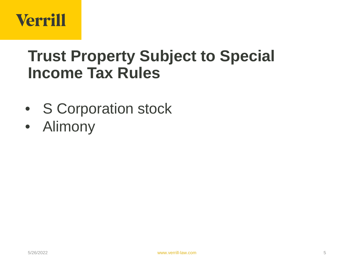

#### **Trust Property Subject to Special Income Tax Rules**

- S Corporation stock
- Alimony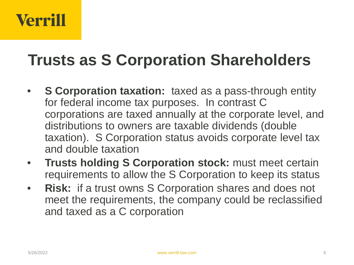#### **Trusts as S Corporation Shareholders**

- **S Corporation taxation:** taxed as a pass-through entity for federal income tax purposes. In contrast C corporations are taxed annually at the corporate level, and distributions to owners are taxable dividends (double taxation). S Corporation status avoids corporate level tax and double taxation
- **Trusts holding S Corporation stock:** must meet certain requirements to allow the S Corporation to keep its status
- **Risk:** if a trust owns S Corporation shares and does not meet the requirements, the company could be reclassified and taxed as a C corporation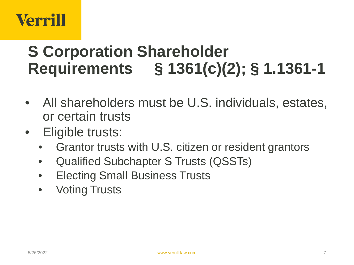#### **S Corporation Shareholder Requirements § 1361(c)(2); § 1.1361-1**

- All shareholders must be U.S. individuals, estates, or certain trusts
- Eligible trusts:
	- Grantor trusts with U.S. citizen or resident grantors
	- Qualified Subchapter S Trusts (QSSTs)
	- Electing Small Business Trusts
	- Voting Trusts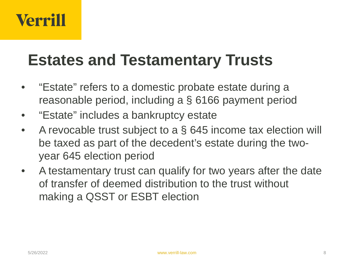#### **Estates and Testamentary Trusts**

- "Estate" refers to a domestic probate estate during a reasonable period, including a § 6166 payment period
- "Estate" includes a bankruptcy estate
- A revocable trust subject to a § 645 income tax election will be taxed as part of the decedent's estate during the twoyear 645 election period
- A testamentary trust can qualify for two years after the date of transfer of deemed distribution to the trust without making a QSST or ESBT election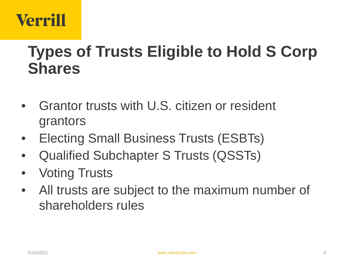#### **Types of Trusts Eligible to Hold S Corp Shares**

- Grantor trusts with U.S. citizen or resident grantors
- Electing Small Business Trusts (ESBTs)
- Qualified Subchapter S Trusts (QSSTs)
- Voting Trusts
- All trusts are subject to the maximum number of shareholders rules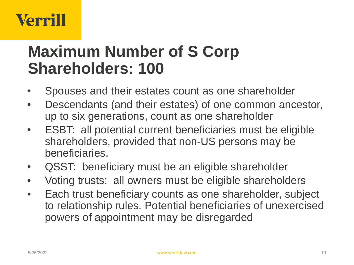#### **Maximum Number of S Corp Shareholders: 100**

- Spouses and their estates count as one shareholder
- Descendants (and their estates) of one common ancestor, up to six generations, count as one shareholder
- ESBT: all potential current beneficiaries must be eligible shareholders, provided that non-US persons may be beneficiaries.
- QSST: beneficiary must be an eligible shareholder
- Voting trusts: all owners must be eligible shareholders
- Each trust beneficiary counts as one shareholder, subject to relationship rules. Potential beneficiaries of unexercised powers of appointment may be disregarded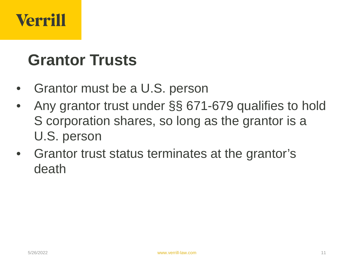#### **Grantor Trusts**

- Grantor must be a U.S. person
- Any grantor trust under §§ 671-679 qualifies to hold S corporation shares, so long as the grantor is a U.S. person
- Grantor trust status terminates at the grantor's death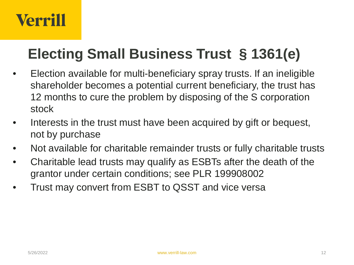#### **Electing Small Business Trust § 1361(e)**

- Election available for multi-beneficiary spray trusts. If an ineligible shareholder becomes a potential current beneficiary, the trust has 12 months to cure the problem by disposing of the S corporation stock
- Interests in the trust must have been acquired by gift or bequest, not by purchase
- Not available for charitable remainder trusts or fully charitable trusts
- Charitable lead trusts may qualify as ESBTs after the death of the grantor under certain conditions; see PLR 199908002
- Trust may convert from ESBT to QSST and vice versa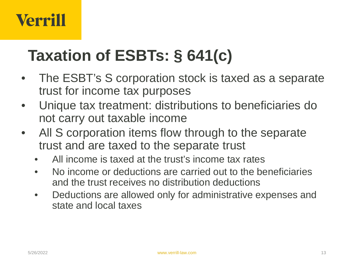# **Taxation of ESBTs: § 641(c)**

- The ESBT's S corporation stock is taxed as a separate trust for income tax purposes
- Unique tax treatment: distributions to beneficiaries do not carry out taxable income
- All S corporation items flow through to the separate trust and are taxed to the separate trust
	- All income is taxed at the trust's income tax rates
	- No income or deductions are carried out to the beneficiaries and the trust receives no distribution deductions
	- Deductions are allowed only for administrative expenses and state and local taxes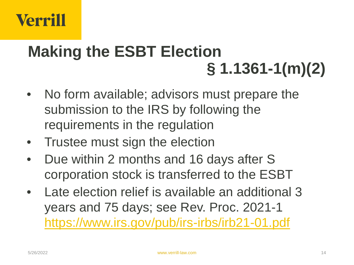# **Making the ESBT Election § 1.1361-1(m)(2)**

- No form available; advisors must prepare the submission to the IRS by following the requirements in the regulation
- Trustee must sign the election
- Due within 2 months and 16 days after S corporation stock is transferred to the ESBT
- Late election relief is available an additional 3 years and 75 days; see Rev. Proc. 2021-1 <https://www.irs.gov/pub/irs-irbs/irb21-01.pdf>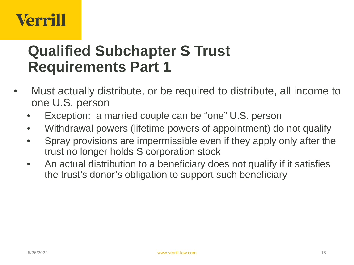#### **Qualified Subchapter S Trust Requirements Part 1**

- Must actually distribute, or be required to distribute, all income to one U.S. person
	- Exception: a married couple can be "one" U.S. person
	- Withdrawal powers (lifetime powers of appointment) do not qualify
	- Spray provisions are impermissible even if they apply only after the trust no longer holds S corporation stock
	- An actual distribution to a beneficiary does not qualify if it satisfies the trust's donor's obligation to support such beneficiary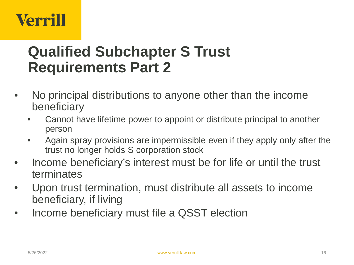#### **Qualified Subchapter S Trust Requirements Part 2**

- No principal distributions to anyone other than the income beneficiary
	- Cannot have lifetime power to appoint or distribute principal to another person
	- Again spray provisions are impermissible even if they apply only after the trust no longer holds S corporation stock
- Income beneficiary's interest must be for life or until the trust terminates
- Upon trust termination, must distribute all assets to income beneficiary, if living
- Income beneficiary must file a QSST election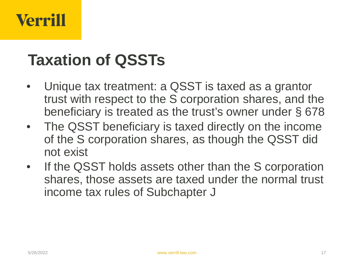#### **Taxation of QSSTs**

- Unique tax treatment: a QSST is taxed as a grantor trust with respect to the S corporation shares, and the beneficiary is treated as the trust's owner under § 678
- The QSST beneficiary is taxed directly on the income of the S corporation shares, as though the QSST did not exist
- If the QSST holds assets other than the S corporation shares, those assets are taxed under the normal trust income tax rules of Subchapter J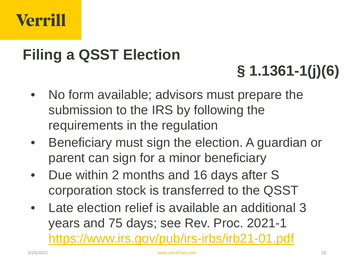#### **Filing a QSST Election**

# **§ 1.1361-1(j)(6)**

- No form available; advisors must prepare the submission to the IRS by following the requirements in the regulation
- Beneficiary must sign the election. A guardian or parent can sign for a minor beneficiary
- Due within 2 months and 16 days after S corporation stock is transferred to the QSST
- Late election relief is available an additional 3 years and 75 days; see Rev. Proc. 2021-1 <https://www.irs.gov/pub/irs-irbs/irb21-01.pdf>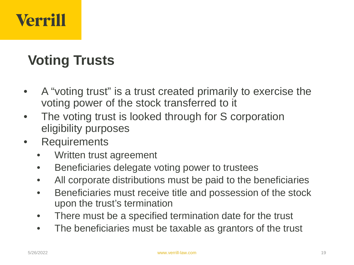#### **Voting Trusts**

- A "voting trust" is a trust created primarily to exercise the voting power of the stock transferred to it
- The voting trust is looked through for S corporation eligibility purposes
- Requirements
	- Written trust agreement
	- Beneficiaries delegate voting power to trustees
	- All corporate distributions must be paid to the beneficiaries
	- Beneficiaries must receive title and possession of the stock upon the trust's termination
	- There must be a specified termination date for the trust
	- The beneficiaries must be taxable as grantors of the trust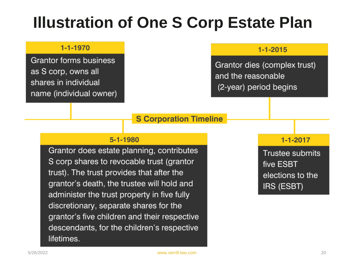#### **Illustration of One S Corp Estate Plan**

#### 1-1-1970

**Grantor forms business** as S corp, owns all shares in individual name (individual owner)

#### $1 - 1 - 2015$

Grantor dies (complex trust) and the reasonable (2-year) period begins

#### **S Corporation Timeline**

#### 5-1-1980

Grantor does estate planning, contributes S corp shares to revocable trust (grantor trust). The trust provides that after the grantor's death, the trustee will hold and administer the trust property in five fully discretionary, separate shares for the grantor's five children and their respective descendants, for the children's respective lifetimes.

#### $1 - 1 - 2017$

Trustee submits five ESBT elections to the IRS (ESBT)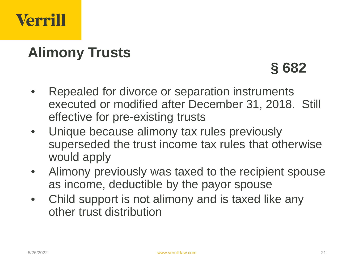

#### **Alimony Trusts**

#### **§ 682**

- Repealed for divorce or separation instruments executed or modified after December 31, 2018. Still effective for pre-existing trusts
- Unique because alimony tax rules previously superseded the trust income tax rules that otherwise would apply
- Alimony previously was taxed to the recipient spouse as income, deductible by the payor spouse
- Child support is not alimony and is taxed like any other trust distribution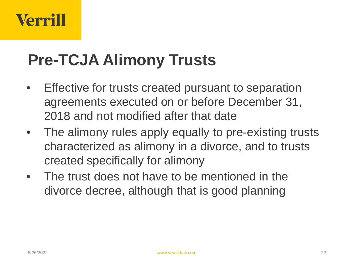## **Pre-TCJA Alimony Trusts**

- Effective for trusts created pursuant to separation agreements executed on or before December 31, 2018 and not modified after that date
- The alimony rules apply equally to pre-existing trusts characterized as alimony in a divorce, and to trusts created specifically for alimony
- The trust does not have to be mentioned in the divorce decree, although that is good planning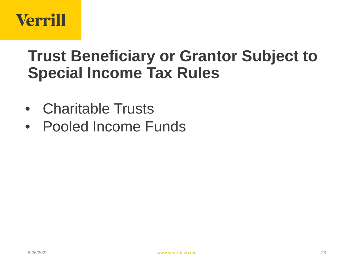#### **Trust Beneficiary or Grantor Subject to Special Income Tax Rules**

- Charitable Trusts
- Pooled Income Funds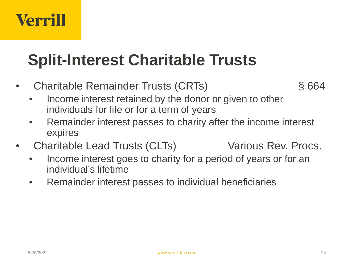## **Split-Interest Charitable Trusts**

- Charitable Remainder Trusts (CRTs) § 664
	- Income interest retained by the donor or given to other individuals for life or for a term of years
	- Remainder interest passes to charity after the income interest expires
- Charitable Lead Trusts (CLTs) Various Rev. Procs.
	- Income interest goes to charity for a period of years or for an individual's lifetime
	- Remainder interest passes to individual beneficiaries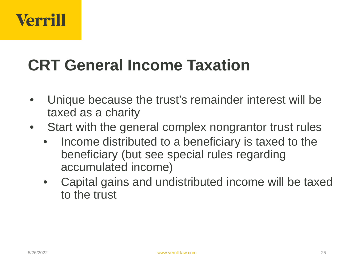#### **CRT General Income Taxation**

- Unique because the trust's remainder interest will be taxed as a charity
- Start with the general complex nongrantor trust rules
	- Income distributed to a beneficiary is taxed to the beneficiary (but see special rules regarding accumulated income)
	- Capital gains and undistributed income will be taxed to the trust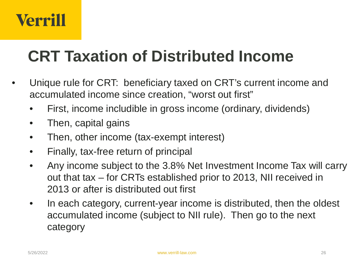#### **CRT Taxation of Distributed Income**

- Unique rule for CRT: beneficiary taxed on CRT's current income and accumulated income since creation, "worst out first"
	- First, income includible in gross income (ordinary, dividends)
	- Then, capital gains
	- Then, other income (tax-exempt interest)
	- Finally, tax-free return of principal
	- Any income subject to the 3.8% Net Investment Income Tax will carry out that tax – for CRTs established prior to 2013, NII received in 2013 or after is distributed out first
	- In each category, current-year income is distributed, then the oldest accumulated income (subject to NII rule). Then go to the next category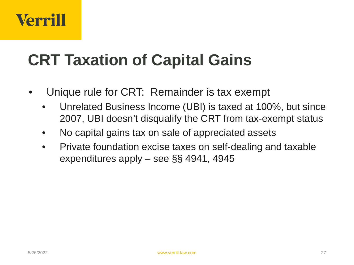### **CRT Taxation of Capital Gains**

- Unique rule for CRT: Remainder is tax exempt
	- Unrelated Business Income (UBI) is taxed at 100%, but since 2007, UBI doesn't disqualify the CRT from tax-exempt status
	- No capital gains tax on sale of appreciated assets
	- Private foundation excise taxes on self-dealing and taxable expenditures apply – see §§ 4941, 4945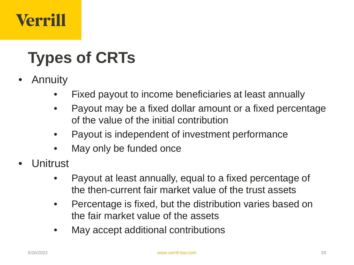# **Types of CRTs**

- **Annuity** 
	- Fixed payout to income beneficiaries at least annually
	- Payout may be a fixed dollar amount or a fixed percentage of the value of the initial contribution
	- Payout is independent of investment performance
	- May only be funded once
- Unitrust
	- Payout at least annually, equal to a fixed percentage of the then-current fair market value of the trust assets
	- Percentage is fixed, but the distribution varies based on the fair market value of the assets
	- May accept additional contributions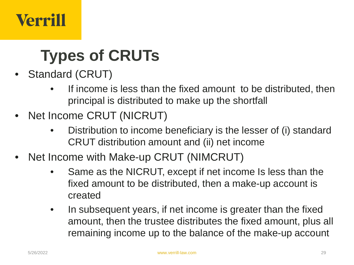# **Types of CRUTs**

- Standard (CRUT)
	- If income is less than the fixed amount to be distributed, then principal is distributed to make up the shortfall
- Net Income CRUT (NICRUT)
	- Distribution to income beneficiary is the lesser of (i) standard CRUT distribution amount and (ii) net income
- Net Income with Make-up CRUT (NIMCRUT)
	- Same as the NICRUT, except if net income Is less than the fixed amount to be distributed, then a make-up account is created
	- In subsequent years, if net income is greater than the fixed amount, then the trustee distributes the fixed amount, plus all remaining income up to the balance of the make-up account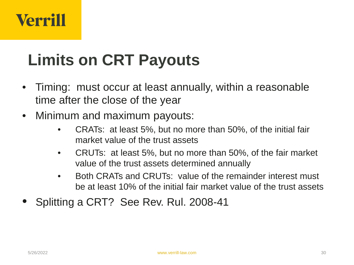# **Limits on CRT Payouts**

- Timing: must occur at least annually, within a reasonable time after the close of the year
- Minimum and maximum payouts:
	- CRATs: at least 5%, but no more than 50%, of the initial fair market value of the trust assets
	- CRUTs: at least 5%, but no more than 50%, of the fair market value of the trust assets determined annually
	- Both CRATs and CRUTs: value of the remainder interest must be at least 10% of the initial fair market value of the trust assets
- Splitting a CRT? See Rev. Rul. 2008-41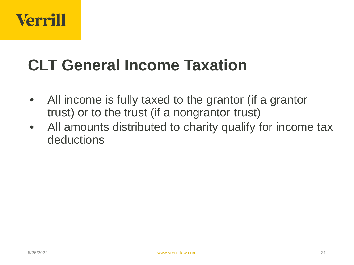#### **CLT General Income Taxation**

- All income is fully taxed to the grantor (if a grantor trust) or to the trust (if a nongrantor trust)
- All amounts distributed to charity qualify for income tax deductions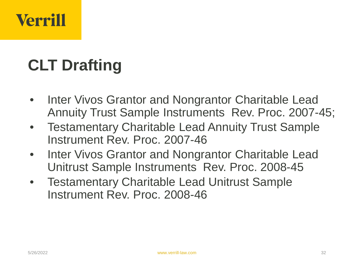# **CLT Drafting**

- Inter Vivos Grantor and Nongrantor Charitable Lead Annuity Trust Sample Instruments Rev. Proc. 2007-45;
- Testamentary Charitable Lead Annuity Trust Sample Instrument Rev. Proc. 2007-46
- Inter Vivos Grantor and Nongrantor Charitable Lead Unitrust Sample Instruments Rev. Proc. 2008-45
- Testamentary Charitable Lead Unitrust Sample Instrument Rev. Proc. 2008-46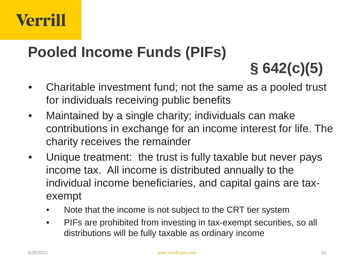#### **Pooled Income Funds (PIFs)**

**§ 642(c)(5)** 

- Charitable investment fund; not the same as a pooled trust for individuals receiving public benefits
- Maintained by a single charity; individuals can make contributions in exchange for an income interest for life. The charity receives the remainder
- Unique treatment: the trust is fully taxable but never pays income tax. All income is distributed annually to the individual income beneficiaries, and capital gains are taxexempt
	- Note that the income is not subject to the CRT tier system
	- PIFs are prohibited from investing in tax-exempt securities, so all distributions will be fully taxable as ordinary income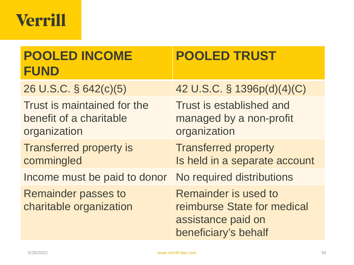| <b>POOLED INCOME</b><br><b>FUND</b>                                    | <b>POOLED TRUST</b>                                                                               |
|------------------------------------------------------------------------|---------------------------------------------------------------------------------------------------|
| 26 U.S.C. § 642(c)(5)                                                  | 42 U.S.C. § 1396p(d)(4)(C)                                                                        |
| Trust is maintained for the<br>benefit of a charitable<br>organization | Trust is established and<br>managed by a non-profit<br>organization                               |
| <b>Transferred property is</b><br>commingled                           | <b>Transferred property</b><br>Is held in a separate account                                      |
| Income must be paid to donor                                           | No required distributions                                                                         |
| <b>Remainder passes to</b><br>charitable organization                  | Remainder is used to<br>reimburse State for medical<br>assistance paid on<br>beneficiary's behalf |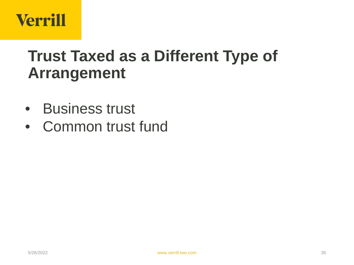

#### **Trust Taxed as a Different Type of Arrangement**

- Business trust
- Common trust fund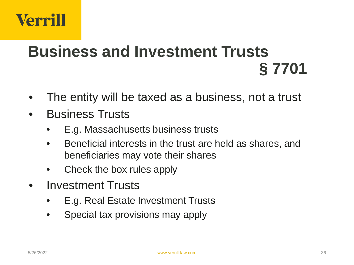#### **Business and Investment Trusts § 7701**

- The entity will be taxed as a business, not a trust
- Business Trusts
	- E.g. Massachusetts business trusts
	- Beneficial interests in the trust are held as shares, and beneficiaries may vote their shares
	- Check the box rules apply
- Investment Trusts
	- E.g. Real Estate Investment Trusts
	- Special tax provisions may apply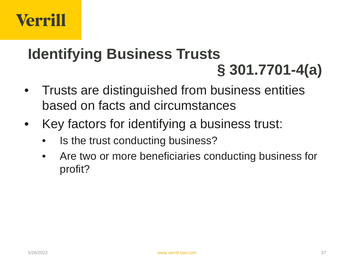#### **Identifying Business Trusts § 301.7701-4(a)**

- Trusts are distinguished from business entities based on facts and circumstances
- Key factors for identifying a business trust:
	- Is the trust conducting business?
	- Are two or more beneficiaries conducting business for profit?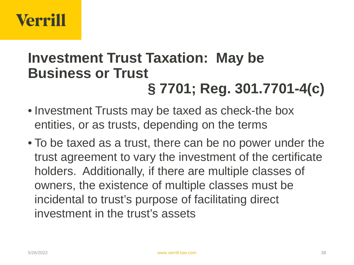#### **Investment Trust Taxation: May be Business or Trust § 7701; Reg. 301.7701-4(c)**

- Investment Trusts may be taxed as check-the box entities, or as trusts, depending on the terms
- To be taxed as a trust, there can be no power under the trust agreement to vary the investment of the certificate holders. Additionally, if there are multiple classes of owners, the existence of multiple classes must be incidental to trust's purpose of facilitating direct investment in the trust's assets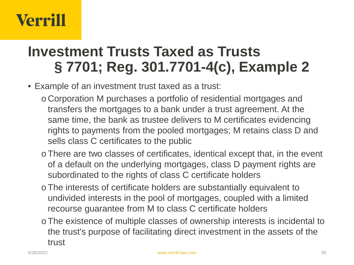#### **Investment Trusts Taxed as Trusts § 7701; Reg. 301.7701-4(c), Example 2**

- Example of an investment trust taxed as a trust:
	- o Corporation M purchases a portfolio of residential mortgages and transfers the mortgages to a bank under a trust agreement. At the same time, the bank as trustee delivers to M certificates evidencing rights to payments from the pooled mortgages; M retains class D and sells class C certificates to the public
	- o There are two classes of certificates, identical except that, in the event of a default on the underlying mortgages, class D payment rights are subordinated to the rights of class C certificate holders
	- o The interests of certificate holders are substantially equivalent to undivided interests in the pool of mortgages, coupled with a limited recourse guarantee from M to class C certificate holders
	- o The existence of multiple classes of ownership interests is incidental to the trust's purpose of facilitating direct investment in the assets of the trust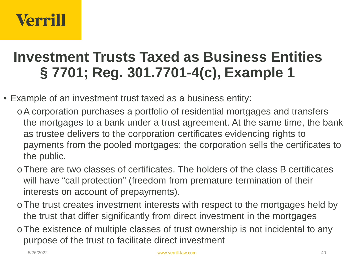#### **Investment Trusts Taxed as Business Entities § 7701; Reg. 301.7701-4(c), Example 1**

- Example of an investment trust taxed as a business entity:
	- oA corporation purchases a portfolio of residential mortgages and transfers the mortgages to a bank under a trust agreement. At the same time, the bank as trustee delivers to the corporation certificates evidencing rights to payments from the pooled mortgages; the corporation sells the certificates to the public.
	- oThere are two classes of certificates. The holders of the class B certificates will have "call protection" (freedom from premature termination of their interests on account of prepayments).
	- oThe trust creates investment interests with respect to the mortgages held by the trust that differ significantly from direct investment in the mortgages
	- oThe existence of multiple classes of trust ownership is not incidental to any purpose of the trust to facilitate direct investment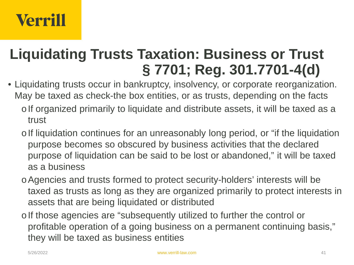#### **Liquidating Trusts Taxation: Business or Trust § 7701; Reg. 301.7701-4(d)**

- Liquidating trusts occur in bankruptcy, insolvency, or corporate reorganization. May be taxed as check-the box entities, or as trusts, depending on the facts
	- o If organized primarily to liquidate and distribute assets, it will be taxed as a trust
	- o If liquidation continues for an unreasonably long period, or "if the liquidation purpose becomes so obscured by business activities that the declared purpose of liquidation can be said to be lost or abandoned," it will be taxed as a business
	- oAgencies and trusts formed to protect security-holders' interests will be taxed as trusts as long as they are organized primarily to protect interests in assets that are being liquidated or distributed
	- o If those agencies are "subsequently utilized to further the control or profitable operation of a going business on a permanent continuing basis," they will be taxed as business entities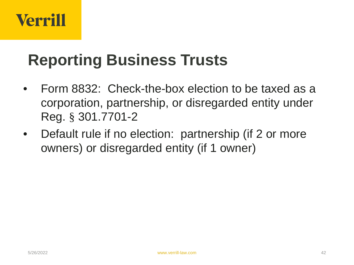#### **Reporting Business Trusts**

- Form 8832: Check-the-box election to be taxed as a corporation, partnership, or disregarded entity under Reg. § 301.7701-2
- Default rule if no election: partnership (if 2 or more owners) or disregarded entity (if 1 owner)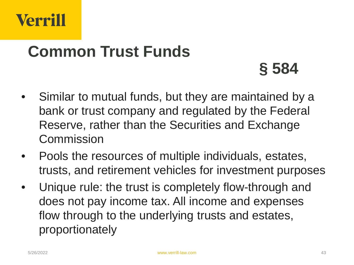

#### **Common Trust Funds**

**§ 584**

- Similar to mutual funds, but they are maintained by a bank or trust company and regulated by the Federal Reserve, rather than the Securities and Exchange **Commission**
- Pools the resources of multiple individuals, estates, trusts, and retirement vehicles for investment purposes
- Unique rule: the trust is completely flow-through and does not pay income tax. All income and expenses flow through to the underlying trusts and estates, proportionately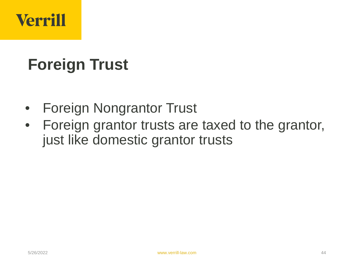# **Foreign Trust**

- Foreign Nongrantor Trust
- Foreign grantor trusts are taxed to the grantor, just like domestic grantor trusts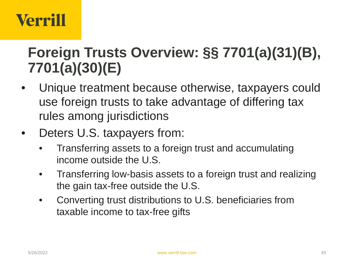#### **Foreign Trusts Overview: §§ 7701(a)(31)(B), 7701(a)(30)(E)**

- Unique treatment because otherwise, taxpayers could use foreign trusts to take advantage of differing tax rules among jurisdictions
- Deters U.S. taxpayers from:
	- Transferring assets to a foreign trust and accumulating income outside the U.S.
	- Transferring low-basis assets to a foreign trust and realizing the gain tax-free outside the U.S.
	- Converting trust distributions to U.S. beneficiaries from taxable income to tax-free gifts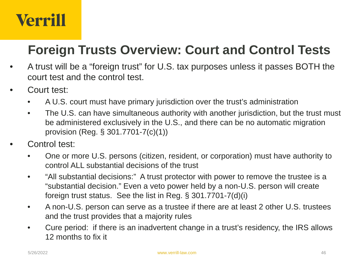#### **Foreign Trusts Overview: Court and Control Tests**

- A trust will be a "foreign trust" for U.S. tax purposes unless it passes BOTH the court test and the control test.
- Court test:
	- A U.S. court must have primary jurisdiction over the trust's administration
	- The U.S. can have simultaneous authority with another jurisdiction, but the trust must be administered exclusively in the U.S., and there can be no automatic migration provision (Reg. § 301.7701-7(c)(1))
- Control test:
	- One or more U.S. persons (citizen, resident, or corporation) must have authority to control ALL substantial decisions of the trust
	- "All substantial decisions:" A trust protector with power to remove the trustee is a "substantial decision." Even a veto power held by a non-U.S. person will create foreign trust status. See the list in Reg. § 301.7701-7(d)(i)
	- A non-U.S. person can serve as a trustee if there are at least 2 other U.S. trustees and the trust provides that a majority rules
	- Cure period: if there is an inadvertent change in a trust's residency, the IRS allows 12 months to fix it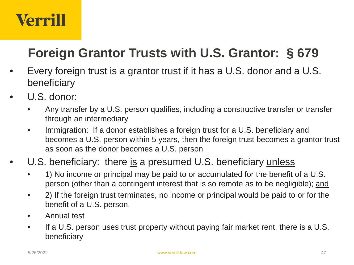#### **Foreign Grantor Trusts with U.S. Grantor: § 679**

- Every foreign trust is a grantor trust if it has a U.S. donor and a U.S. beneficiary
- U.S. donor:
	- Any transfer by a U.S. person qualifies, including a constructive transfer or transfer through an intermediary
	- Immigration: If a donor establishes a foreign trust for a U.S. beneficiary and becomes a U.S. person within 5 years, then the foreign trust becomes a grantor trust as soon as the donor becomes a U.S. person
- U.S. beneficiary: there is a presumed U.S. beneficiary unless
	- 1) No income or principal may be paid to or accumulated for the benefit of a U.S. person (other than a contingent interest that is so remote as to be negligible); and
	- 2) If the foreign trust terminates, no income or principal would be paid to or for the benefit of a U.S. person.
	- Annual test
	- If a U.S. person uses trust property without paying fair market rent, there is a U.S. beneficiary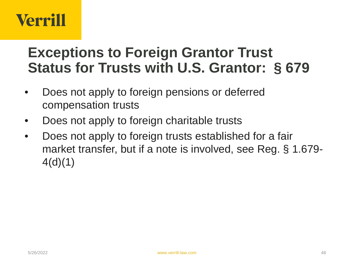#### **Exceptions to Foreign Grantor Trust Status for Trusts with U.S. Grantor: § 679**

- Does not apply to foreign pensions or deferred compensation trusts
- Does not apply to foreign charitable trusts
- Does not apply to foreign trusts established for a fair market transfer, but if a note is involved, see Reg. § 1.679-  $4(d)(1)$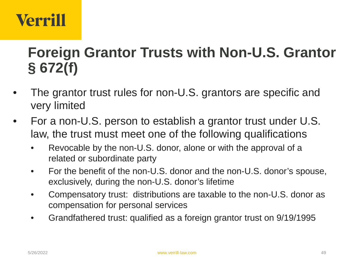#### **Foreign Grantor Trusts with Non-U.S. Grantor § 672(f)**

- The grantor trust rules for non-U.S. grantors are specific and very limited
- For a non-U.S. person to establish a grantor trust under U.S. law, the trust must meet one of the following qualifications
	- Revocable by the non-U.S. donor, alone or with the approval of a related or subordinate party
	- For the benefit of the non-U.S. donor and the non-U.S. donor's spouse, exclusively, during the non-U.S. donor's lifetime
	- Compensatory trust: distributions are taxable to the non-U.S. donor as compensation for personal services
	- Grandfathered trust: qualified as a foreign grantor trust on 9/19/1995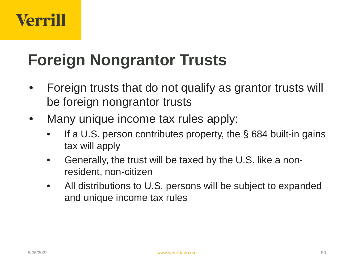#### **Foreign Nongrantor Trusts**

- Foreign trusts that do not qualify as grantor trusts will be foreign nongrantor trusts
- Many unique income tax rules apply:
	- If a U.S. person contributes property, the  $\S$  684 built-in gains tax will apply
	- Generally, the trust will be taxed by the U.S. like a nonresident, non-citizen
	- All distributions to U.S. persons will be subject to expanded and unique income tax rules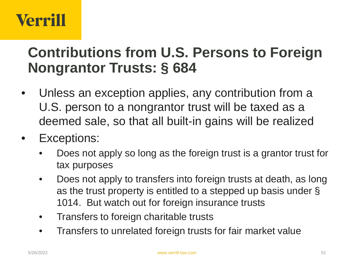#### **Contributions from U.S. Persons to Foreign Nongrantor Trusts: § 684**

- Unless an exception applies, any contribution from a U.S. person to a nongrantor trust will be taxed as a deemed sale, so that all built-in gains will be realized
- Exceptions:
	- Does not apply so long as the foreign trust is a grantor trust for tax purposes
	- Does not apply to transfers into foreign trusts at death, as long as the trust property is entitled to a stepped up basis under § 1014. But watch out for foreign insurance trusts
	- Transfers to foreign charitable trusts
	- Transfers to unrelated foreign trusts for fair market value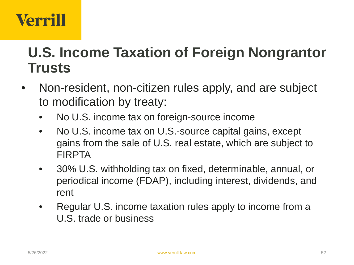#### **U.S. Income Taxation of Foreign Nongrantor Trusts**

- Non-resident, non-citizen rules apply, and are subject to modification by treaty:
	- No U.S. income tax on foreign-source income
	- No U.S. income tax on U.S.-source capital gains, except gains from the sale of U.S. real estate, which are subject to FIRPTA
	- 30% U.S. withholding tax on fixed, determinable, annual, or periodical income (FDAP), including interest, dividends, and rent
	- Regular U.S. income taxation rules apply to income from a U.S. trade or business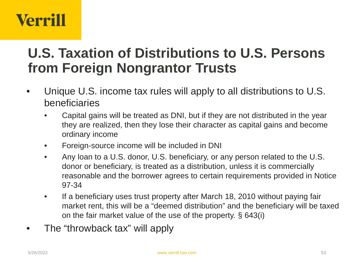#### **U.S. Taxation of Distributions to U.S. Persons from Foreign Nongrantor Trusts**

- Unique U.S. income tax rules will apply to all distributions to U.S. beneficiaries
	- Capital gains will be treated as DNI, but if they are not distributed in the year they are realized, then they lose their character as capital gains and become ordinary income
	- Foreign-source income will be included in DNI
	- Any loan to a U.S. donor, U.S. beneficiary, or any person related to the U.S. donor or beneficiary, is treated as a distribution, unless it is commercially reasonable and the borrower agrees to certain requirements provided in Notice 97-34
	- If a beneficiary uses trust property after March 18, 2010 without paying fair market rent, this will be a "deemed distribution" and the beneficiary will be taxed on the fair market value of the use of the property. § 643(i)
- The "throwback tax" will apply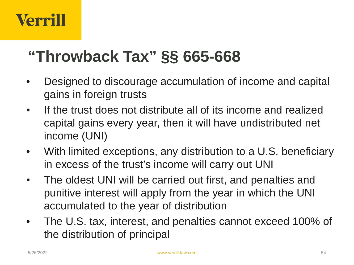#### **"Throwback Tax" §§ 665-668**

- Designed to discourage accumulation of income and capital gains in foreign trusts
- If the trust does not distribute all of its income and realized capital gains every year, then it will have undistributed net income (UNI)
- With limited exceptions, any distribution to a U.S. beneficiary in excess of the trust's income will carry out UNI
- The oldest UNI will be carried out first, and penalties and punitive interest will apply from the year in which the UNI accumulated to the year of distribution
- The U.S. tax, interest, and penalties cannot exceed 100% of the distribution of principal